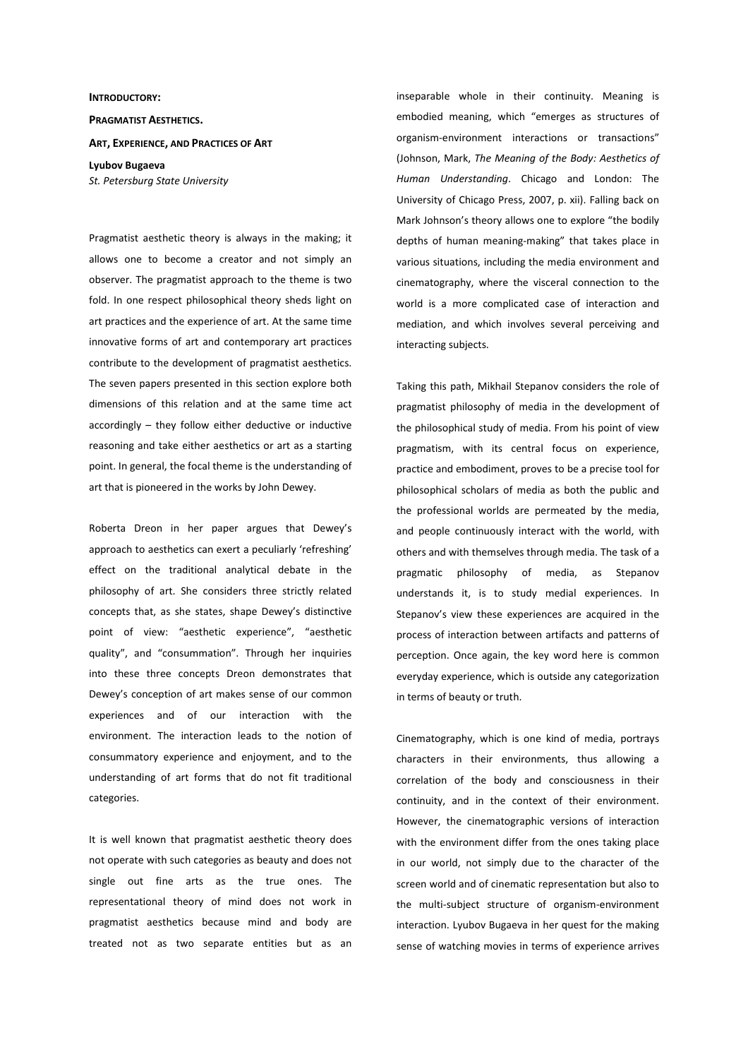## **INTRODUCTORY:**

## **PRAGMATIST AESTHETICS.**

## **ART, EXPERIENCE, AND PRACTICES OF ART**

**Lyubov Bugaeva**  *St. Petersburg State University* 

Pragmatist aesthetic theory is always in the making; it allows one to become a creator and not simply an observer. The pragmatist approach to the theme is two fold. In one respect philosophical theory sheds light on art practices and the experience of art. At the same time innovative forms of art and contemporary art practices contribute to the development of pragmatist aesthetics. The seven papers presented in this section explore both dimensions of this relation and at the same time act accordingly – they follow either deductive or inductive reasoning and take either aesthetics or art as a starting point. In general, the focal theme is the understanding of art that is pioneered in the works by John Dewey.

Roberta Dreon in her paper argues that Dewey's approach to aesthetics can exert a peculiarly 'refreshing' effect on the traditional analytical debate in the philosophy of art. She considers three strictly related concepts that, as she states, shape Dewey's distinctive point of view: "aesthetic experience", "aesthetic quality", and "consummation". Through her inquiries into these three concepts Dreon demonstrates that Dewey's conception of art makes sense of our common experiences and of our interaction with the environment. The interaction leads to the notion of consummatory experience and enjoyment, and to the understanding of art forms that do not fit traditional categories.

It is well known that pragmatist aesthetic theory does not operate with such categories as beauty and does not single out fine arts as the true ones. The representational theory of mind does not work in pragmatist aesthetics because mind and body are treated not as two separate entities but as an inseparable whole in their continuity. Meaning is embodied meaning, which "emerges as structures of organism-environment interactions or transactions" (Johnson, Mark, *The Meaning of the Body: Aesthetics of Human Understanding*. Chicago and London: The University of Chicago Press, 2007, p. xii). Falling back on Mark Johnson's theory allows one to explore "the bodily depths of human meaning-making" that takes place in various situations, including the media environment and cinematography, where the visceral connection to the world is a more complicated case of interaction and mediation, and which involves several perceiving and interacting subjects.

Taking this path, Mikhail Stepanov considers the role of pragmatist philosophy of media in the development of the philosophical study of media. From his point of view pragmatism, with its central focus on experience, practice and embodiment, proves to be a precise tool for philosophical scholars of media as both the public and the professional worlds are permeated by the media, and people continuously interact with the world, with others and with themselves through media. The task of a pragmatic philosophy of media, as Stepanov understands it, is to study medial experiences. In Stepanov's view these experiences are acquired in the process of interaction between artifacts and patterns of perception. Once again, the key word here is common everyday experience, which is outside any categorization in terms of beauty or truth.

Cinematography, which is one kind of media, portrays characters in their environments, thus allowing a correlation of the body and consciousness in their continuity, and in the context of their environment. However, the cinematographic versions of interaction with the environment differ from the ones taking place in our world, not simply due to the character of the screen world and of cinematic representation but also to the multi-subject structure of organism-environment interaction. Lyubov Bugaeva in her quest for the making sense of watching movies in terms of experience arrives